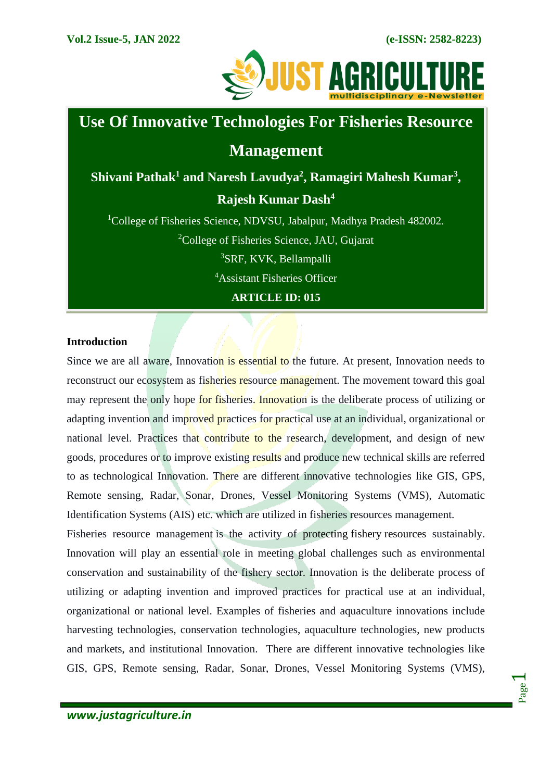Page  $\overline{\phantom{0}}$ 



# **Use Of Innovative Technologies For Fisheries Resource**

# **Management**

**Shivani Pathak<sup>1</sup> and Naresh Lavudya<sup>2</sup> , Ramagiri Mahesh Kumar<sup>3</sup> , Rajesh Kumar Dash<sup>4</sup>**

<sup>1</sup>College of Fisheries Science, NDVSU, Jabalpur, Madhya Pradesh 482002.  $2^2$ College of Fisheries Science, JAU, Gujarat <sup>3</sup>SRF, KVK, Bellampalli <sup>4</sup>Assistant Fisheries Officer **ARTICLE ID: 015**

# **Introduction**

Since we are all aware, Innovation is essential to the future. At present, Innovation needs to reconstruct our ecosystem as fisheries resource management. The movement toward this goal may represent the only hope for fisheries. Innovation is the deliberate process of utilizing or adapting invention and improved practices for practical use at an individual, organizational or national level. Practices that contribute to the research, development, and design of new goods, procedures or to improve existing results and produce new technical skills are referred to as technological Innovation. There are different innovative technologies like GIS, GPS, Remote sensing, Radar, Sonar, Drones, Vessel Monitoring Systems (VMS), Automatic Identification Systems (AIS) etc. which are utilized in fisheries resources management.

Fisheries resource management is the activity of protecting [fishery](https://en.wikipedia.org/wiki/Fishery) resources sustainably. Innovation will play an essential role in meeting global challenges such as environmental conservation and sustainability of the fishery sector. Innovation is the deliberate process of utilizing or adapting invention and improved practices for practical use at an individual, organizational or national level. Examples of fisheries and aquaculture innovations include harvesting technologies, conservation technologies, aquaculture technologies, new products and markets, and institutional Innovation. There are different innovative technologies like GIS, GPS, Remote sensing, Radar, Sonar, Drones, Vessel Monitoring Systems (VMS),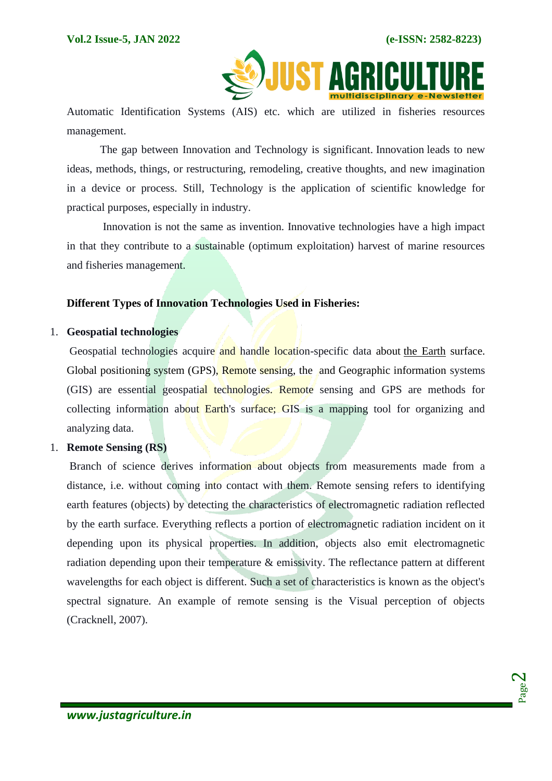

Automatic Identification Systems (AIS) etc. which are utilized in fisheries resources management.

The gap between Innovation and Technology is significant. Innovation leads to new ideas, methods, things, or restructuring, remodeling, creative thoughts, and new imagination in a device or process. Still, Technology is the application of scientific knowledge for practical purposes, especially in industry.

Innovation is not the same as invention. Innovative technologies have a high impact in that they contribute to a sustainable (optimum exploitation) harvest of marine resources and fisheries management.

#### **Different Types of Innovation Technologies Used in Fisheries:**

#### 1. **Geospatial technologies**

Geospatial technologies acquire and handle location-specific data about [the Earth](https://www.encyclopedia.com/earth-and-environment/geology-and-oceanography/geology-and-oceanography/earth) surface. Global positioning system (GPS), Remote sensing, the and Geographic information systems (GIS) are essential geospatial technologies. Remote sensing and GPS are methods for collecting information about Earth's surface; GIS is a mapping tool for organizing and analyzing data.

# 1. **Remote Sensing (RS)**

Branch of science derives information about objects from measurements made from a distance, i.e. without coming into contact with them. Remote sensing refers to identifying earth features (objects) by detecting the characteristics of electromagnetic radiation reflected by the earth surface. Everything reflects a portion of electromagnetic radiation incident on it depending upon its physical properties. In addition, objects also emit electromagnetic radiation depending upon their temperature & emissivity. The reflectance pattern at different wavelengths for each object is different. Such a set of characteristics is known as the object's spectral signature. An example of remote sensing is the Visual perception of objects (Cracknell, 2007).

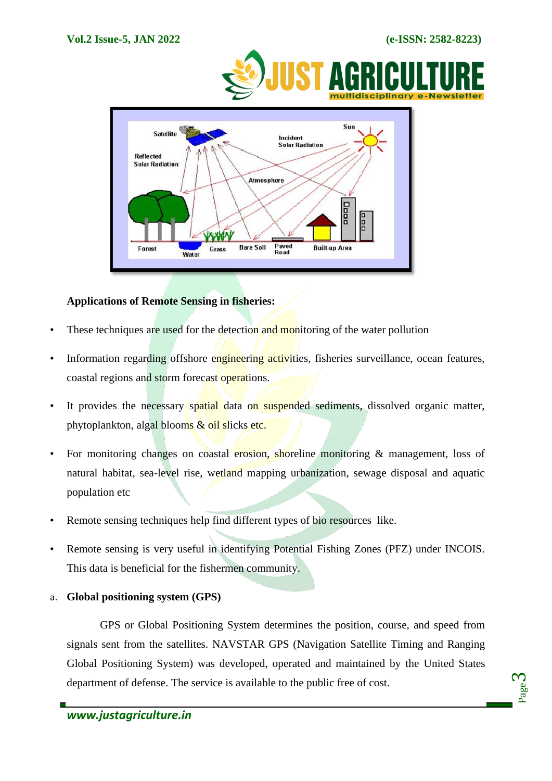



# **Applications of Remote Sensing in fisheries:**

- These techniques are used for the detection and monitoring of the water pollution
- Information regarding offshore engineering activities, fisheries surveillance, ocean features, coastal regions and storm forecast operations.
- It provides the necessary spatial data on suspended sediments, dissolved organic matter, phytoplankton, algal blooms & oil slicks etc.
- For monitoring changes on coastal erosion, shoreline monitoring & management, loss of natural habitat, sea-level rise, wetland mapping urbanization, sewage disposal and aquatic population etc
- Remote sensing techniques help find different types of bio resources like.
- Remote sensing is very useful in identifying Potential Fishing Zones (PFZ) under INCOIS. This data is beneficial for the fishermen community.
- a. **Global positioning system (GPS)**

GPS or Global Positioning System determines the position, course, and speed from signals sent from the satellites. NAVSTAR GPS (Navigation Satellite Timing and Ranging Global Positioning System) was developed, operated and maintained by the United States department of defense. The service is available to the public free of cost.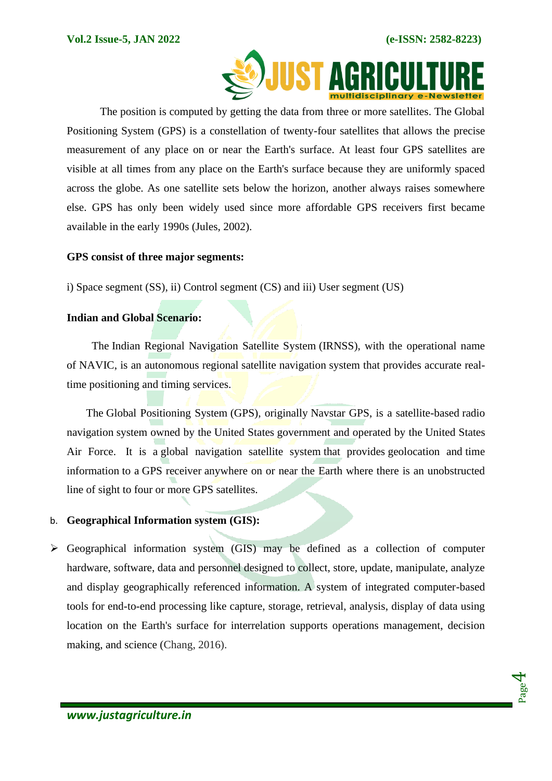

The position is computed by getting the data from three or more satellites. The Global Positioning System (GPS) is a constellation of twenty-four satellites that allows the precise measurement of any place on or near the Earth's surface. At least four GPS satellites are visible at all times from any place on the Earth's surface because they are uniformly spaced across the globe. As one satellite sets below the horizon, another always raises somewhere else. GPS has only been widely used since more affordable GPS receivers first became available in the early 1990s (Jules, 2002).

#### **GPS consist of three major segments:**

i) Space segment (SS), ii) Control segment (CS) and iii) User segment (US)

#### **Indian and Global Scenario:**

 The Indian Regional Navigation Satellite System (IRNSS), with the operational name of NAVIC, is an autonomous regional [satellite navigation](https://en.wikipedia.org/wiki/Satellite_navigation) system that provides accurate realtime positioning and timing services.

 The Global Positioning System (GPS), originally Navstar GPS, is a satellite-based [radio](https://en.wikipedia.org/wiki/Radionavigation-satellite_service)  [navigation](https://en.wikipedia.org/wiki/Radionavigation-satellite_service) system owned by the [United States](https://en.wikipedia.org/wiki/United_States) government and operated by the [United States](https://en.wikipedia.org/wiki/United_States_Air_Force)  [Air Force.](https://en.wikipedia.org/wiki/United_States_Air_Force) It is a [global navigation satellite system](https://en.wikipedia.org/wiki/Satellite_navigation) that provides [geolocation](https://en.wikipedia.org/wiki/Geolocation) and [time](https://en.wikipedia.org/wiki/Time_transfer)  [information](https://en.wikipedia.org/wiki/Time_transfer) to a [GPS receiver](https://en.wikipedia.org/wiki/GPS_receiver) anywhere on or near the Earth where there is an unobstructed line of sight to four or more GPS satellites.

#### b. **Geographical Information system (GIS):**

➢ Geographical information system (GIS) may be defined as a collection of computer hardware, software, data and personnel designed to collect, store, update, manipulate, analyze and display geographically referenced information. A system of integrated computer-based tools for end-to-end processing like capture, storage, retrieval, analysis, display of data using location on the Earth's surface for interrelation supports operations management, decision making, and science (Chang, 2016).

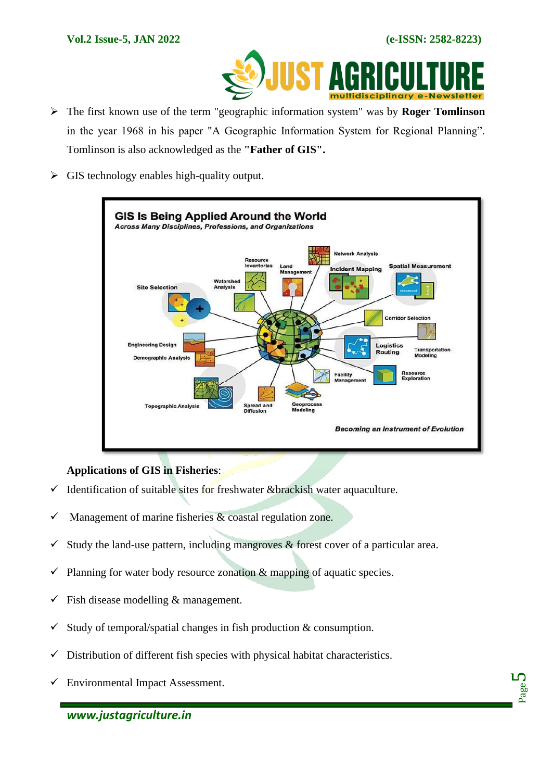

- ➢ The first known use of the term "geographic information system" was by **Roger Tomlinson**  in the year 1968 in his paper "A Geographic Information System for Regional Planning". Tomlinson is also acknowledged as the **"Father of GIS".**
- ➢ GIS technology enables high-quality output.



# **Applications of GIS in Fisheries**:

- $\checkmark$  Identification of suitable sites for freshwater &brackish water aquaculture.
- $\checkmark$  Management of marine fisheries & coastal regulation zone.
- $\checkmark$  Study the land-use pattern, including mangroves & forest cover of a particular area.
- $\checkmark$  Planning for water body resource zonation  $\&$  mapping of aquatic species.
- $\checkmark$  Fish disease modelling & management.
- $\checkmark$  Study of temporal/spatial changes in fish production & consumption.
- $\checkmark$  Distribution of different fish species with physical habitat characteristics.
- $\checkmark$  Environmental Impact Assessment.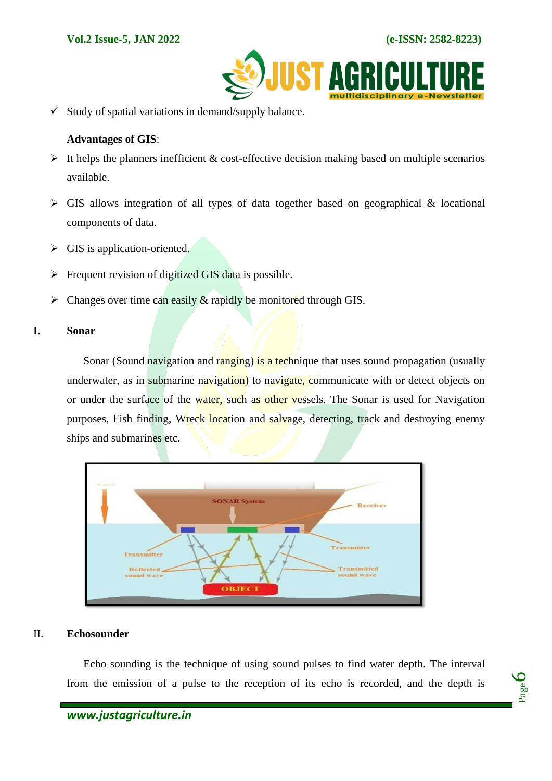

 $\checkmark$  Study of spatial variations in demand/supply balance.

#### **Advantages of GIS**:

- $\triangleright$  It helps the planners inefficient & cost-effective decision making based on multiple scenarios available.
- $\triangleright$  GIS allows integration of all types of data together based on geographical & locational components of data.
- $\triangleright$  GIS is application-oriented.
- $\triangleright$  Frequent revision of digitized GIS data is possible.
- $\triangleright$  Changes over time can easily & rapidly be monitored through GIS.

#### **I. Sonar**

Sonar (Sound navigation and ranging) is a technique that uses sound propagation (usually underwater, as in submarine navigation) to navigate, communicate with or detect objects on or under the surface of the water, such as other vessels. The Sonar is used for Navigation purposes, Fish finding, Wreck location and salvage, detecting, track and destroying enemy ships and submarines etc.



#### II. **Echosounder**

Echo sounding is the technique of using sound pulses to find water depth. The interval from the emission of a pulse to the reception of its echo is recorded, and the depth is

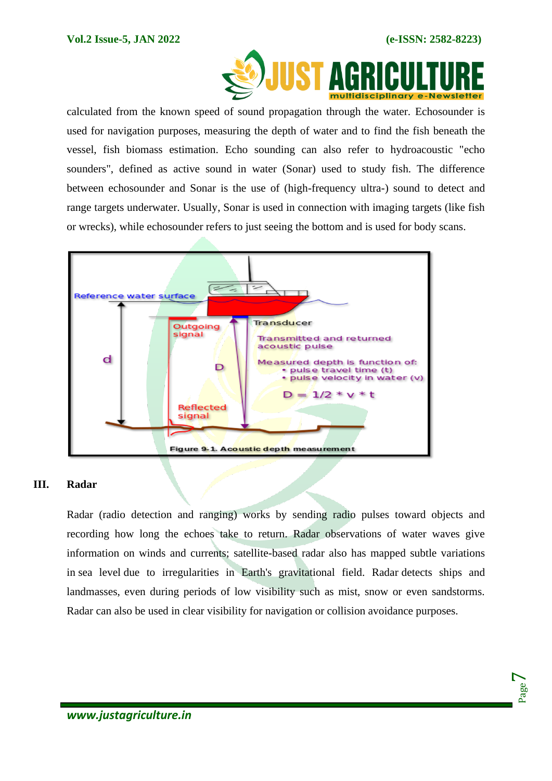

calculated from the known speed of sound propagation through the water. Echosounder is used for navigation purposes, measuring the depth of water and to find the fish beneath the vessel, fish biomass estimation. Echo sounding can also refer to hydroacoustic "echo sounders", defined as active sound in water (Sonar) used to study fish. The difference between echosounder and Sonar is the use of (high-frequency ultra-) sound to detect and range targets underwater. Usually, Sonar is used in connection with imaging targets (like fish or wrecks), while echosounder refers to just seeing the bottom and is used for body scans.



#### **III. Radar**

Radar (radio detection and ranging) works by sending radio pulses toward objects and recording how long the echoes take to return. Radar observations of water waves give information on winds and currents; satellite-based radar also has mapped subtle variations in [sea level](https://www.encyclopedia.com/earth-and-environment/geology-and-oceanography/geology-and-oceanography/sea-level) due to irregularities in Earth's gravitational field. Radar detects ships and landmasses, even during periods of low visibility such as mist, snow or even sandstorms. Radar can also be used in clear visibility for navigation or collision avoidance purposes.